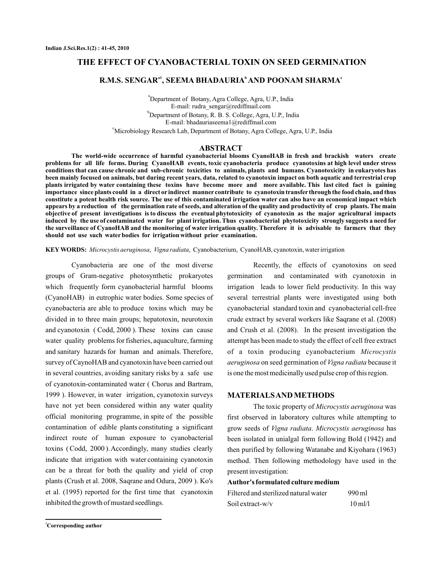## **THE EFFECT OF CYANOBACTERIAL TOXIN ON SEED GERMINATION**

# $\mathbf{R}.\mathbf{M}.\mathbf{S}.$  SENGAR $^{\mathrm{a1}},$  SEEMA BHADAURIA $^{\mathrm{b}}$  AND POONAM SHARMA $^{\mathrm{c}}$

a Department of Botany, Agra College, Agra, U.P., India b Department of Botany, R. B. S. College, Agra, U.P., India c Microbiology Research Lab, Department of Botany, Agra College, Agra, U.P., India E-mail: rudra\_sengar@rediffmail.com E-mail: bhadauriaseema1@rediffmail.com

#### **ABSTRACT**

**The world-wide occurrence of harmful cyanobacterial blooms CyanoHAB in fresh and brackish waters create problems for all life forms. During CyanoHAB events, toxic cyanobacteria produce cyanotoxins at high level under stress conditions that can cause chronic and sub-chronic toxicities to animals, plants and humans. Cyanotoxicity in eukaryotes has been mainly focused on animals, but during recent years, data, related to cyanotoxin impact on both aquatic and terrestrial crop plants irrigated by water containing these toxins have become more and more available. This last cited fact is gaining importance since plants could in a direct or indirect manner contribute to cyanotoxin transfer through the food chain, and thus constitute a potent health risk source. The use of this contaminated irrigation water can also have an economical impact which appears by a reduction of the germination rate of seeds, and alteration of the quality and productivity of crop plants. The main objective of present investigations is to discuss the eventual phytotoxicity of cyanotoxin as the major agricultural impacts induced by the use of contaminated water for plant irrigation. Thus cyanobacterial phytotoxicity strongly suggests a need for the surveillance of CyanoHAB and the monitoring of water irrigation quality. Therefore it is advisable to farmers that they should not use such water bodies for irrigation without prior examination.**

KEY WORDS: Microcystis aeruginosa, Vigna radiata, Cyanobacterium, CyanoHAB, cyanotoxin, water irrigation

Cyanobacteria are one of the most diverse groups of Gram-negative photosynthetic prokaryotes which frequently form cyanobacterial harmful blooms (CyanoHAB) in eutrophic water bodies. Some species of cyanobacteria are able to produce toxins which may be divided in to three main groups; hepatotoxin, neurotoxin and cyanotoxin ( Codd, 2000 ). These toxins can cause water quality problems for fisheries, aquaculture, farming and sanitary hazards for human and animals. Therefore, survey of CaynoHAB and cyanotoxin have been carried out in several countries, avoiding sanitary risks by a safe use of cyanotoxin-contaminated water ( Chorus and Bartram, 1999 ). However, in water irrigation, cyanotoxin surveys have not yet been considered within any water quality official monitoring programme, in spite of the possible contamination of edible plants constituting a significant indirect route of human exposure to cyanobacterial toxins ( Codd, 2000 ).Accordingly, many studies clearly indicate that irrigation with water containing cyanotoxin can be a threat for both the quality and yield of crop plants (Crush et al. 2008, Saqrane and Odura, 2009 ). Ko's et al. (1995) reported for the first time that cyanotoxin inhibited the growth of mustard seedlings.

Recently, the effects of cyanotoxins on seed germination and contaminated with cyanotoxin in irrigation leads to lower field productivity. In this way several terrestrial plants were investigated using both cyanobacterial standard toxin and cyanobacterial cell-free crude extract by several workers like Saqrane et al. (2008) and Crush et al. (2008). In the present investigation the attempt has been made to study the effect of cell free extract of a toxin producing cyanobacterium *Microcystis* aeruginosa on seed germination of Vigna radiata because it is one the most medicinally used pulse crop of this region.

### **MATERIALSAND METHODS**

The toxic property of Microcystis aeruginosa was first observed in laboratory cultures while attempting to grow seeds of Vigna radiata. Microcystis aeruginosa has been isolated in unialgal form following Bold (1942) and then purified by following Watanabe and Kiyohara (1963) method. Then following methodology have used in the present investigation:

**Author's formulated culture medium**

| Filtered and sterilized natural water | 990 ml               |
|---------------------------------------|----------------------|
| Soil extract-w/v                      | $10 \text{ m}$ $l/l$ |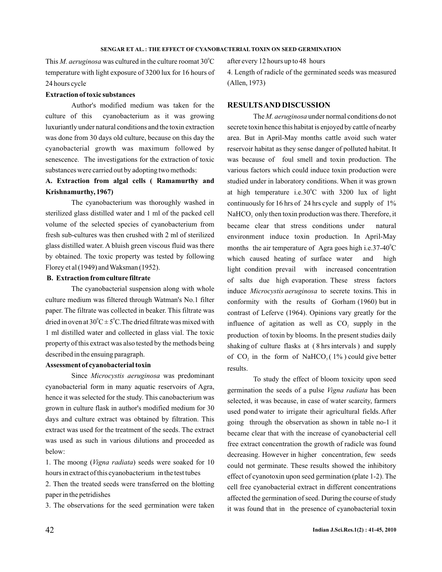This *M. aeruginosa* was cultured in the culture roomat  $30^{\circ}$ C temperature with light exposure of 3200 lux for 16 hours of 24 hours cycle .

## **Extraction of toxic substances**

Author's modified medium was taken for the culture of this cyanobacterium as it was growing luxuriantly under natural conditions and the toxin extraction was done from 30 days old culture, because on this day the cyanobacterial growth was maximum followed by senescence. The investigations for the extraction of toxic substances were carried out by adopting two methods:

# **A. Extraction from algal cells ( Ramamurthy and Krishnamurthy, 1967)**

The cyanobacterium was thoroughly washed in sterilized glass distilled water and 1 ml of the packed cell volume of the selected species of cyanobacterium from fresh sub-cultures was then crushed with 2 ml of sterilized glass distilled water. A bluish green viscous fluid was there by obtained. The toxic property was tested by following Florey et al (1949) and Waksman (1952).

# **B. Extraction from culture filtrate**

The cyanobacterial suspension along with whole culture medium was filtered through Watman's No.1 filter paper. The filtrate was collected in beaker. This filtrate was dried in oven at  $30^{\circ}$ C  $\pm$  5<sup>°</sup>C. The dried filtrate was mixed with 1 ml distilled water and collected in glass vial. The toxic property of this extract was also tested by the methods being described in the ensuing paragraph.

## **Assessment of cyanobacterial toxin**

Since Microcystis aeruginosa was predominant cyanobacterial form in many aquatic reservoirs of Agra, hence it was selected for the study. This canobacterium was grown in culture flask in author's modified medium for 30 days and culture extract was obtained by filtration. This extract was used for the treatment of the seeds. The extract was used as such in various dilutions and proceeded as below:

1. The moong (Vigna radiata) seeds were soaked for 10 hours in extract of this cyanobacterium in the test tubes

2. Then the treated seeds were transferred on the blotting paper in the petridishes

3. The observations for the seed germination were taken

after every 12 hours up to 48 hours 4. Length of radicle of the germinated seeds was measured (Allen, 1973)

## **RESULTSAND DISCUSSION**

The M. aeruginosa under normal conditions do not secrete toxin hence this habitat is enjoyed by cattle of nearby area. But in April-May months cattle avoid such water reservoir habitat as they sense danger of polluted habitat. It was because of foul smell and toxin production. The various factors which could induce toxin production were studied under in laboratory conditions. When it was grown at high temperature i.e.30 $^{\circ}$ C with 3200 lux of light continuously for 16 hrs of 24 hrs cycle and supply of 1% NaHCO<sub>3</sub> only then toxin production was there. Therefore, it became clear that stress conditions under natural environment induce toxin production. In April-May months the air temperature of Agra goes high i.e.37-40 $\mathrm{^{\circ}C}$ which caused heating of surface water and high light condition prevail with increased concentration of salts due high evaporation. These stress factors induce *Microcystis aeruginosa* to secrete toxins. This in conformity with the results of Gorham (1960) but in contrast of Leferve (1964). Opinions vary greatly for the influence of agitation as well as  $CO<sub>2</sub>$  supply in the production of toxin by blooms. In the present studies daily shaking of culture flasks at ( 8 hrs intervals ) and supply of  $CO<sub>2</sub>$  in the form of NaHCO<sub>3</sub>(1%) could give better results.

To study the effect of bloom toxicity upon seed germination the seeds of a pulse Vigna radiata has been selected, it was because, in case of water scarcity, farmers used pond water to irrigate their agricultural fields.After going through the observation as shown in table no-1 it became clear that with the increase of cyanobacterial cell free extract concentration the growth of radicle was found decreasing. However in higher concentration, few seeds could not germinate. These results showed the inhibitory effect of cyanotoxin upon seed germination (plate 1-2). The cell free cyanobacterial extract in different concentrations affected the germination of seed. During the course of study it was found that in the presence of cyanobacterial toxin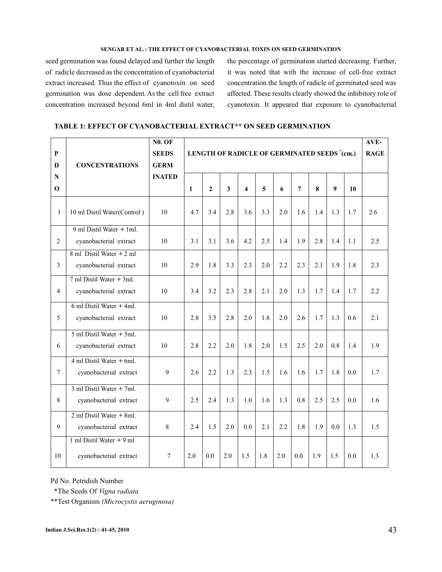#### **SENGAR ET AL. : THE EFFECT OF CYANOBACTERIAL TOXIN ON SEED GERMINATION**

seed germination was found delayed and further the length of radicle decreased as the concentration of cyanobacterial extract increased. Thus the effect of cyanotoxin on seed germination was dose dependent. As the cell free extract concentration increased beyond 6ml in 4ml distil water,

the percentage of germination started decreasing. Further, it was noted that with the increase of cell-free extract concentration the length of radicle of germinated seed was affected. These results clearly showed the inhibitory role of cyanotoxin. It appeared that exposure to cyanobacterial

| TABLE 1: EFFECT OF CYANOBACTERIAL EXTRACT** ON SEED GERMINATION |  |  |  |  |
|-----------------------------------------------------------------|--|--|--|--|
|-----------------------------------------------------------------|--|--|--|--|

|                         |                                                | <b>N0. OF</b> |                                             |              |     |                         |     |     | AVE-           |     |                  |     |     |
|-------------------------|------------------------------------------------|---------------|---------------------------------------------|--------------|-----|-------------------------|-----|-----|----------------|-----|------------------|-----|-----|
| $\overline{\mathbf{P}}$ |                                                | <b>SEEDS</b>  | LENGTH OF RADICLE OF GERMINATED SEEDS (cm.) |              |     |                         |     |     |                |     | <b>RAGE</b>      |     |     |
| D                       | <b>CONCENTRATIONS</b>                          | <b>GERM</b>   |                                             |              |     |                         |     |     |                |     |                  |     |     |
| $\mathbf N$             |                                                | <b>INATED</b> |                                             |              |     |                         |     |     |                |     |                  |     |     |
| $\Omega$                |                                                |               | $\mathbf{1}$                                | $\mathbf{2}$ | 3   | $\overline{\mathbf{4}}$ | 5   | 6   | $\overline{7}$ | 8   | $\boldsymbol{Q}$ | 10  |     |
| $\mathbf{1}$            | 10 ml Distil Water(Control)                    | 10            | 4.7                                         | 3.4          | 2.8 | 3.6                     | 3.3 | 2.0 | 1.6            | 1.4 | 1.3              | 1.7 | 2.6 |
|                         | 9 ml Distil Water + 1ml.                       |               |                                             |              |     |                         |     |     |                |     |                  |     |     |
| $\overline{2}$          | cyanobacterial extract                         | 10            | 3.1                                         | 3.1          | 3.6 | 4.2                     | 2.5 | 1.4 | 1.9            | 2.8 | 1.4              | 1.1 | 2.5 |
|                         | 8 ml Distil Water + 2 ml                       |               |                                             |              |     |                         |     |     |                |     |                  |     |     |
| $\overline{3}$          | cyanobacterial extract                         | 10            | 2.9                                         | 1.8          | 3.3 | 2.3                     | 2.0 | 2.2 | 2.3            | 2.1 | 1.9              | 1.8 | 2.3 |
|                         | $7 \text{ ml}$ Distil Water $+ 3 \text{ ml}$ . |               |                                             |              |     |                         |     |     |                |     |                  |     |     |
| $\overline{4}$          | cyanobacterial extract                         | 10            | 3.4                                         | 3.2          | 2.3 | 2.8                     | 2.1 | 2.0 | 1.3            | 1.7 | 1.4              | 1.7 | 2.2 |
|                         | $6$ ml Distil Water + 4ml.                     |               |                                             |              |     |                         |     |     |                |     |                  |     |     |
| 5                       | cyanobacterial extract                         | 10            | 2.8                                         | 3.5          | 2.8 | 2.0                     | 1.8 | 2.0 | 2.6            | 1.7 | 1.3              | 0.6 | 2.1 |
|                         | $5$ ml Distil Water + $5$ ml.                  |               |                                             |              |     |                         |     |     |                |     |                  |     |     |
| 6                       | cyanobacterial extract                         | 10            | 2.8                                         | 2.2          | 2.0 | 1.8                     | 2.0 | 1.5 | 2.5            | 2.0 | 0.8              | 1.4 | 1.9 |
|                         | $4$ ml Distil Water $+$ 6ml.                   |               |                                             |              |     |                         |     |     |                |     |                  |     |     |
| $\tau$                  | cyanobacterial extract                         | 9             | 2.6                                         | 2.2          | 1.3 | 2.3                     | 1.5 | 1.6 | 1.6            | 1.7 | 1.8              | 0.0 | 1.7 |
|                         | 3 ml Distil Water + 7ml.                       |               |                                             |              |     |                         |     |     |                |     |                  |     |     |
| $\,8\,$                 | cyanobacterial extract                         | 9             | 2.5                                         | 2.4          | 1.3 | 1.0                     | 1.6 | 1.3 | 0.8            | 2.5 | 2.5              | 0.0 | 1.6 |
|                         | $2$ ml Distil Water + 8ml.                     |               |                                             |              |     |                         |     |     |                |     |                  |     |     |
| 9                       | cyanobacterial extract                         | 8             | 2.4                                         | 1.5          | 2.0 | 0.0                     | 2.1 | 2.2 | 1.8            | 1.9 | 0.0              | 1.3 | 1.5 |
|                         | 1 ml Distil Water $+9$ ml                      |               |                                             |              |     |                         |     |     |                |     |                  |     |     |
| 10                      | cyanobacterial extract                         | 7             | 2.0                                         | 0.0          | 2.0 | 1.5                     | 1.8 | 2.0 | 0.0            | 1.9 | 1.5              | 0.0 | 1.3 |

Pd No. Petridish Number

\*The Seeds Of *Vigna radiata*

\*\*Test Organism *(Microcystis aeruginosa)*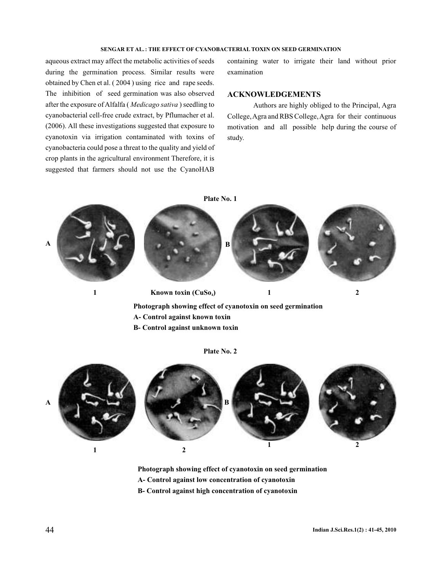#### **SENGAR ET AL. : THE EFFECT OF CYANOBACTERIAL TOXIN ON SEED GERMINATION**

aqueous extract may affect the metabolic activities of seeds during the germination process. Similar results were obtained by Chen et al. ( 2004 ) using rice and rape seeds. The inhibition of seed germination was also observed after the exposure of Alfalfa (*Medicago sativa* ) seedling to cyanobacterial cell-free crude extract, by Pflumacher et al. (2006). All these investigations suggested that exposure to cyanotoxin via irrigation contaminated with toxins of cyanobacteria could pose a threat to the quality and yield of crop plants in the agricultural environment Therefore, it is suggested that farmers should not use the CyanoHAB

containing water to irrigate their land without prior examination

#### **ACKNOWLEDGEMENTS**

Authors are highly obliged to the Principal, Agra College,Agra and RBS College,Agra for their continuous motivation and all possible help during the course of study.



**B- Control against unknown toxin**



**Plate No. 2**

- **Photograph showing effect of cyanotoxin on seed germination**
- **A- Control against low concentration of cyanotoxin**
- **B- Control against high concentration of cyanotoxin**